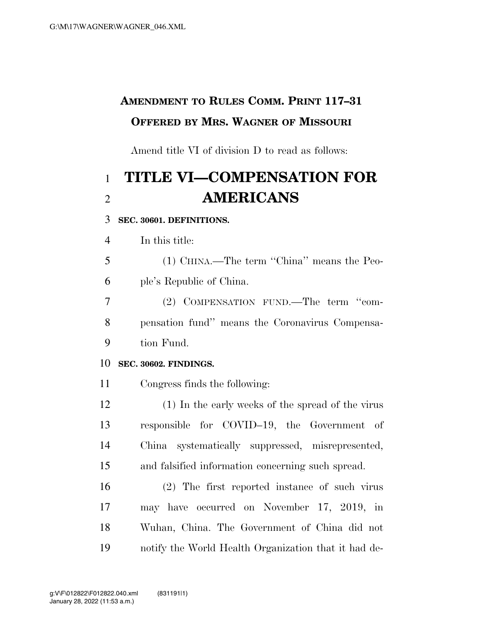## **AMENDMENT TO RULES COMM. PRINT 117–31 OFFERED BY MRS. WAGNER OF MISSOURI**

Amend title VI of division D to read as follows:

# **TITLE VI—COMPENSATION FOR AMERICANS**

### **SEC. 30601. DEFINITIONS.**

In this title:

 (1) CHINA.—The term ''China'' means the Peo-ple's Republic of China.

 (2) COMPENSATION FUND.—The term ''com- pensation fund'' means the Coronavirus Compensa-tion Fund.

### **SEC. 30602. FINDINGS.**

Congress finds the following:

 (1) In the early weeks of the spread of the virus responsible for COVID–19, the Government of China systematically suppressed, misrepresented, and falsified information concerning such spread.

 (2) The first reported instance of such virus may have occurred on November 17, 2019, in Wuhan, China. The Government of China did not notify the World Health Organization that it had de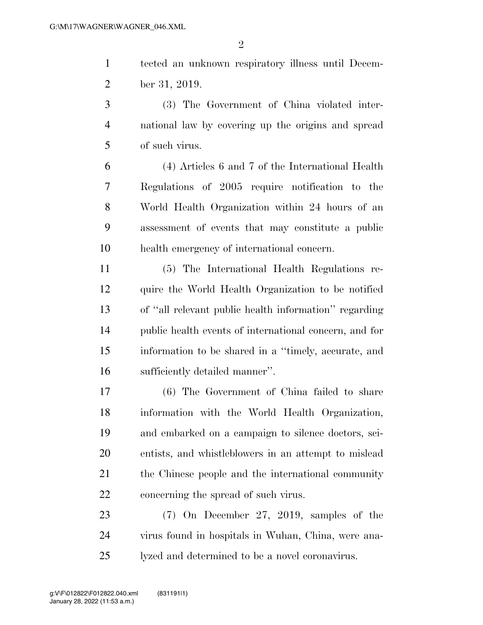tected an unknown respiratory illness until Decem-ber 31, 2019.

 (3) The Government of China violated inter- national law by covering up the origins and spread of such virus.

 (4) Articles 6 and 7 of the International Health Regulations of 2005 require notification to the World Health Organization within 24 hours of an assessment of events that may constitute a public health emergency of international concern.

 (5) The International Health Regulations re- quire the World Health Organization to be notified of ''all relevant public health information'' regarding public health events of international concern, and for information to be shared in a ''timely, accurate, and sufficiently detailed manner''.

 (6) The Government of China failed to share information with the World Health Organization, and embarked on a campaign to silence doctors, sci- entists, and whistleblowers in an attempt to mislead 21 the Chinese people and the international community concerning the spread of such virus.

 (7) On December 27, 2019, samples of the virus found in hospitals in Wuhan, China, were ana-lyzed and determined to be a novel coronavirus.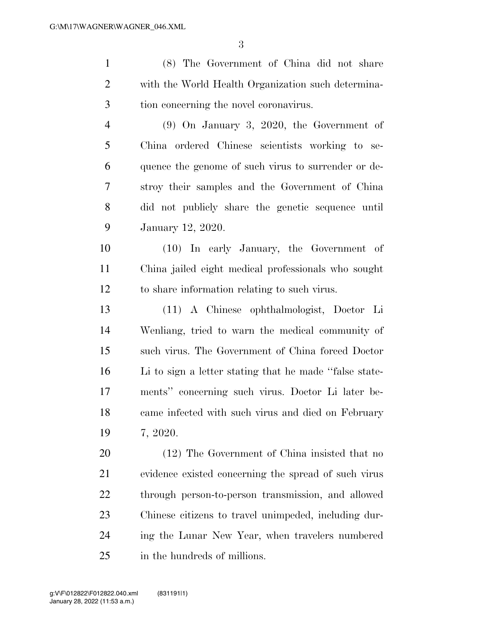(8) The Government of China did not share

 with the World Health Organization such determina- tion concerning the novel coronavirus. (9) On January 3, 2020, the Government of China ordered Chinese scientists working to se- quence the genome of such virus to surrender or de- stroy their samples and the Government of China did not publicly share the genetic sequence until January 12, 2020. (10) In early January, the Government of China jailed eight medical professionals who sought to share information relating to such virus. (11) A Chinese ophthalmologist, Doctor Li Wenliang, tried to warn the medical community of such virus. The Government of China forced Doctor Li to sign a letter stating that he made ''false state- ments'' concerning such virus. Doctor Li later be- came infected with such virus and died on February 7, 2020. (12) The Government of China insisted that no evidence existed concerning the spread of such virus through person-to-person transmission, and allowed Chinese citizens to travel unimpeded, including dur-ing the Lunar New Year, when travelers numbered

in the hundreds of millions.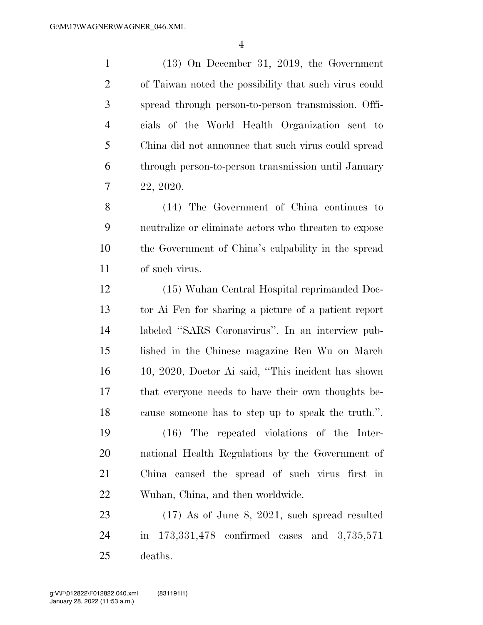(13) On December 31, 2019, the Government of Taiwan noted the possibility that such virus could spread through person-to-person transmission. Offi- cials of the World Health Organization sent to China did not announce that such virus could spread through person-to-person transmission until January 22, 2020.

 (14) The Government of China continues to neutralize or eliminate actors who threaten to expose the Government of China's culpability in the spread of such virus.

 (15) Wuhan Central Hospital reprimanded Doc- tor Ai Fen for sharing a picture of a patient report labeled ''SARS Coronavirus''. In an interview pub- lished in the Chinese magazine Ren Wu on March 10, 2020, Doctor Ai said, ''This incident has shown that everyone needs to have their own thoughts be-cause someone has to step up to speak the truth.''.

 (16) The repeated violations of the Inter- national Health Regulations by the Government of China caused the spread of such virus first in Wuhan, China, and then worldwide.

 (17) As of June 8, 2021, such spread resulted in 173,331,478 confirmed cases and 3,735,571 deaths.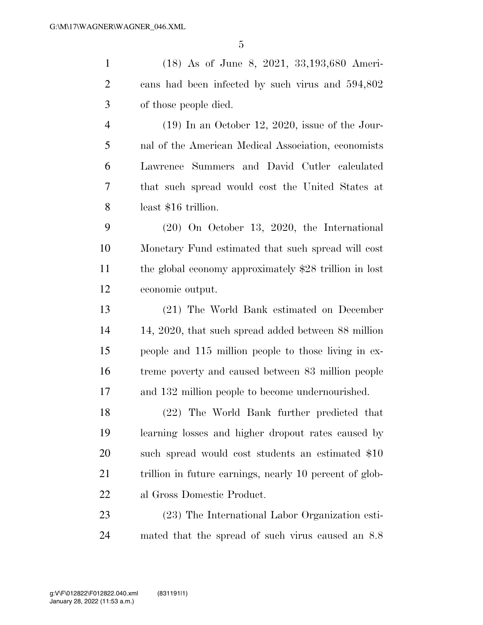(18) As of June 8, 2021, 33,193,680 Ameri- cans had been infected by such virus and 594,802 of those people died.

 (19) In an October 12, 2020, issue of the Jour- nal of the American Medical Association, economists Lawrence Summers and David Cutler calculated that such spread would cost the United States at least \$16 trillion.

 (20) On October 13, 2020, the International Monetary Fund estimated that such spread will cost the global economy approximately \$28 trillion in lost economic output.

 (21) The World Bank estimated on December 14, 2020, that such spread added between 88 million people and 115 million people to those living in ex- treme poverty and caused between 83 million people and 132 million people to become undernourished.

 (22) The World Bank further predicted that learning losses and higher dropout rates caused by 20 such spread would cost students an estimated \$10 21 trillion in future earnings, nearly 10 percent of glob-al Gross Domestic Product.

 (23) The International Labor Organization esti-mated that the spread of such virus caused an 8.8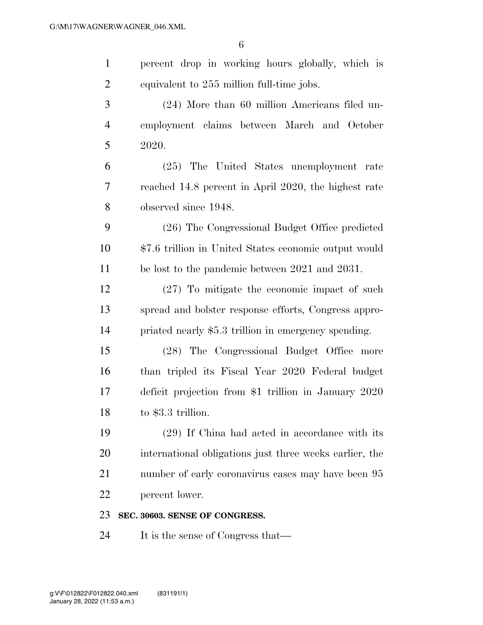| $\mathbf{1}$   | percent drop in working hours globally, which is        |
|----------------|---------------------------------------------------------|
| $\overline{2}$ | equivalent to 255 million full-time jobs.               |
| 3              | (24) More than 60 million Americans filed un-           |
| $\overline{4}$ | employment claims between March and October             |
| 5              | 2020.                                                   |
| 6              | (25) The United States unemployment rate                |
| 7              | reached 14.8 percent in April 2020, the highest rate    |
| 8              | observed since 1948.                                    |
| 9              | (26) The Congressional Budget Office predicted          |
| 10             | \$7.6 trillion in United States economic output would   |
| 11             | be lost to the pandemic between 2021 and 2031.          |
| 12             | $(27)$ To mitigate the economic impact of such          |
| 13             | spread and bolster response efforts, Congress appro-    |
| 14             | priated nearly \$5.3 trillion in emergency spending.    |
| 15             | (28) The Congressional Budget Office more               |
| 16             | than tripled its Fiscal Year 2020 Federal budget        |
| 17             | deficit projection from \$1 trillion in January 2020    |
| 18             | to \$3.3 trillion.                                      |
| 19             | (29) If China had acted in accordance with its          |
| 20             | international obligations just three weeks earlier, the |
| 21             | number of early coronavirus cases may have been 95      |
| 22             | percent lower.                                          |
| 23             | SEC. 30603. SENSE OF CONGRESS.                          |
| 24             | It is the sense of Congress that—                       |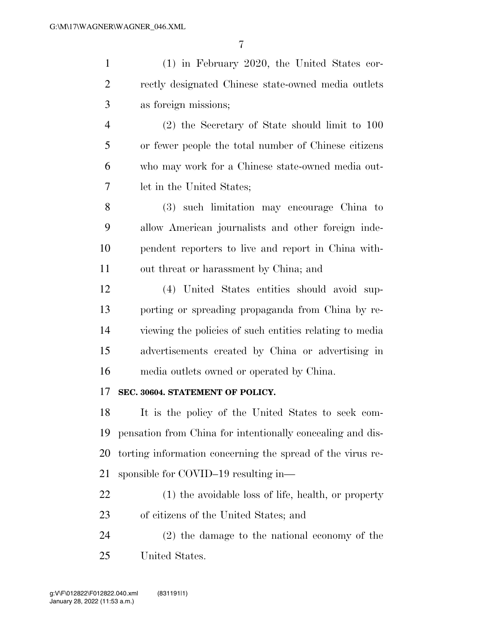| $\mathbf{1}$   | $(1)$ in February 2020, the United States cor-             |
|----------------|------------------------------------------------------------|
| $\overline{2}$ | rectly designated Chinese state-owned media outlets        |
| 3              | as foreign missions;                                       |
| 4              | $(2)$ the Secretary of State should limit to 100           |
| 5              | or fewer people the total number of Chinese citizens       |
| 6              | who may work for a Chinese state-owned media out-          |
| 7              | let in the United States;                                  |
| 8              | (3) such limitation may encourage China to                 |
| 9              | allow American journalists and other foreign inde-         |
| 10             | pendent reporters to live and report in China with-        |
| 11             | out threat or harassment by China; and                     |
| 12             | (4) United States entities should avoid sup-               |
| 13             | porting or spreading propaganda from China by re-          |
| 14             | viewing the policies of such entities relating to media    |
| 15             | advertisements created by China or advertising in          |
| 16             | media outlets owned or operated by China.                  |
| 17             | SEC. 30604. STATEMENT OF POLICY.                           |
| 18             | It is the policy of the United States to seek com-         |
| 19             | pensation from China for intentionally concealing and dis- |
| 20             | torting information concerning the spread of the virus re- |
| 21             | sponsible for COVID-19 resulting in—                       |
| 22             | (1) the avoidable loss of life, health, or property        |
| 23             | of citizens of the United States; and                      |
| 24             | (2) the damage to the national economy of the              |
| 25             | United States.                                             |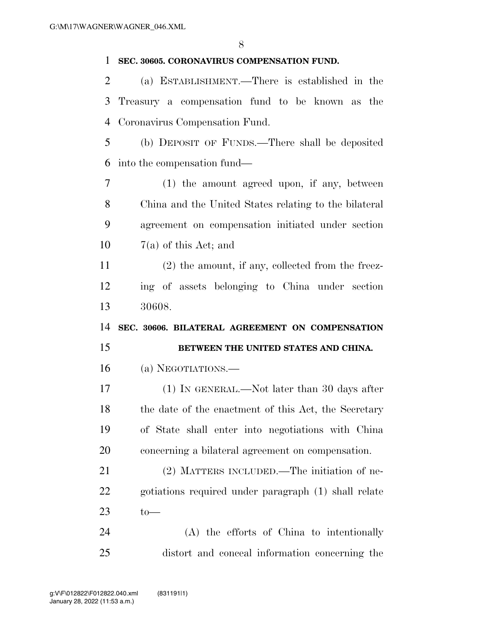### **SEC. 30605. CORONAVIRUS COMPENSATION FUND.**

 (a) ESTABLISHMENT.—There is established in the Treasury a compensation fund to be known as the Coronavirus Compensation Fund.

 (b) DEPOSIT OF FUNDS.—There shall be deposited into the compensation fund—

 (1) the amount agreed upon, if any, between China and the United States relating to the bilateral agreement on compensation initiated under section  $7(a)$  of this Act; and

 (2) the amount, if any, collected from the freez- ing of assets belonging to China under section 30608.

 **SEC. 30606. BILATERAL AGREEMENT ON COMPENSATION BETWEEN THE UNITED STATES AND CHINA.** 

(a) NEGOTIATIONS.—

 (1) IN GENERAL.—Not later than 30 days after 18 the date of the enactment of this Act, the Secretary of State shall enter into negotiations with China concerning a bilateral agreement on compensation.

 (2) MATTERS INCLUDED.—The initiation of ne- gotiations required under paragraph (1) shall relate 23  $t_0$ —

 (A) the efforts of China to intentionally distort and conceal information concerning the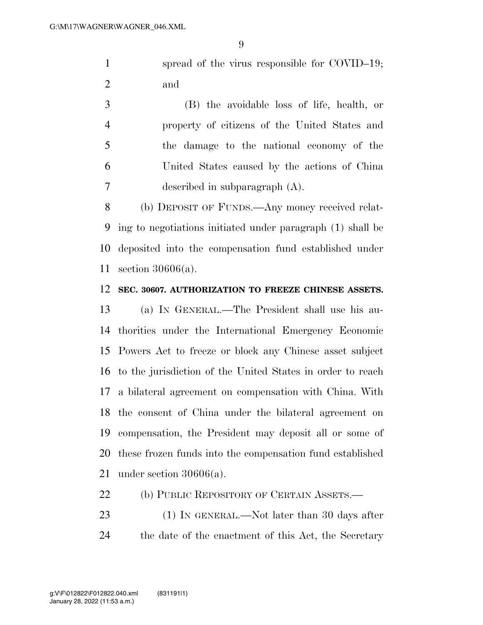1 spread of the virus responsible for COVID–19; and

 (B) the avoidable loss of life, health, or property of citizens of the United States and the damage to the national economy of the United States caused by the actions of China described in subparagraph (A).

 (b) DEPOSIT OF FUNDS.—Any money received relat- ing to negotiations initiated under paragraph (1) shall be deposited into the compensation fund established under section 30606(a).

#### **SEC. 30607. AUTHORIZATION TO FREEZE CHINESE ASSETS.**

 (a) IN GENERAL.—The President shall use his au- thorities under the International Emergency Economic Powers Act to freeze or block any Chinese asset subject to the jurisdiction of the United States in order to reach a bilateral agreement on compensation with China. With the consent of China under the bilateral agreement on compensation, the President may deposit all or some of these frozen funds into the compensation fund established under section 30606(a).

- 22 (b) PUBLIC REPOSITORY OF CERTAIN ASSETS.—
- 23 (1) IN GENERAL.—Not later than 30 days after the date of the enactment of this Act, the Secretary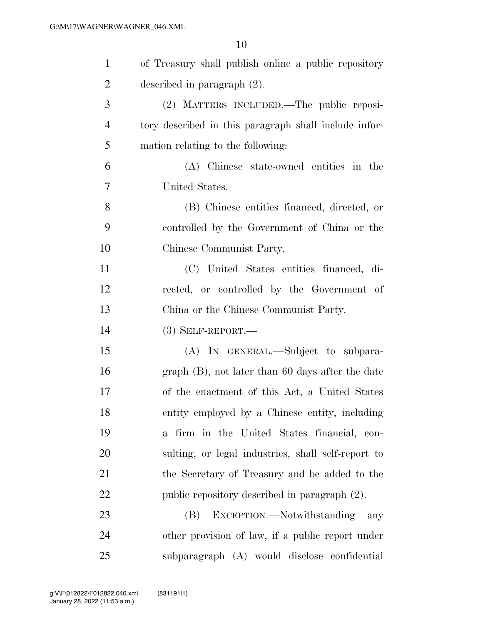| $\mathbf{1}$   | of Treasury shall publish online a public repository  |
|----------------|-------------------------------------------------------|
| $\overline{2}$ | described in paragraph $(2)$ .                        |
| 3              | (2) MATTERS INCLUDED.—The public reposi-              |
| $\overline{4}$ | tory described in this paragraph shall include infor- |
| 5              | mation relating to the following:                     |
| 6              | (A) Chinese state-owned entities in the               |
| $\overline{7}$ | United States.                                        |
| 8              | (B) Chinese entities financed, directed, or           |
| 9              | controlled by the Government of China or the          |
| 10             | Chinese Communist Party.                              |
| 11             | (C) United States entities financed, di-              |
| 12             | rected, or controlled by the Government of            |
| 13             | China or the Chinese Communist Party.                 |
| 14             | $(3)$ SELF-REPORT.—                                   |
| 15             | (A) IN GENERAL.—Subject to subpara-                   |
| 16             | $graph(B)$ , not later than 60 days after the date    |
| 17             | of the enactment of this Act, a United States         |
| 18             | entity employed by a Chinese entity, including        |
| 19             | a firm in the United States financial, con-           |
| 20             | sulting, or legal industries, shall self-report to    |
| 21             | the Secretary of Treasury and be added to the         |
| 22             | public repository described in paragraph (2).         |
| 23             | EXCEPTION.—Notwithstanding<br>(B)<br>any              |
| 24             | other provision of law, if a public report under      |
| 25             | subparagraph (A) would disclose confidential          |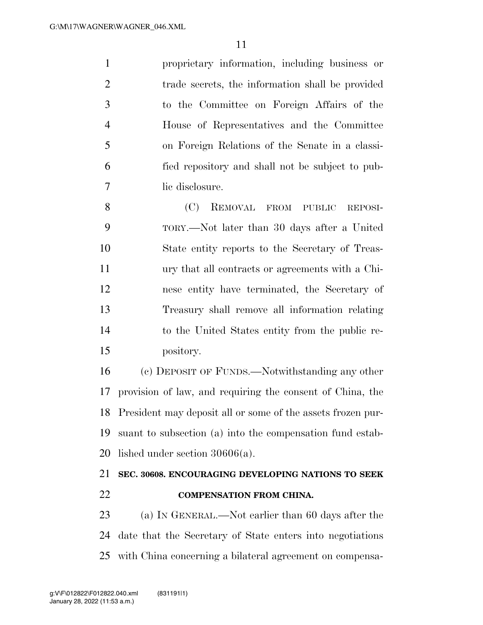proprietary information, including business or trade secrets, the information shall be provided to the Committee on Foreign Affairs of the House of Representatives and the Committee on Foreign Relations of the Senate in a classi- fied repository and shall not be subject to pub-lic disclosure.

 (C) REMOVAL FROM PUBLIC REPOSI- TORY.—Not later than 30 days after a United State entity reports to the Secretary of Treas- ury that all contracts or agreements with a Chi- nese entity have terminated, the Secretary of Treasury shall remove all information relating to the United States entity from the public re-pository.

 (c) DEPOSIT OF FUNDS.—Notwithstanding any other provision of law, and requiring the consent of China, the President may deposit all or some of the assets frozen pur- suant to subsection (a) into the compensation fund estab-lished under section 30606(a).

### **SEC. 30608. ENCOURAGING DEVELOPING NATIONS TO SEEK COMPENSATION FROM CHINA.**

 (a) IN GENERAL.—Not earlier than 60 days after the date that the Secretary of State enters into negotiations with China concerning a bilateral agreement on compensa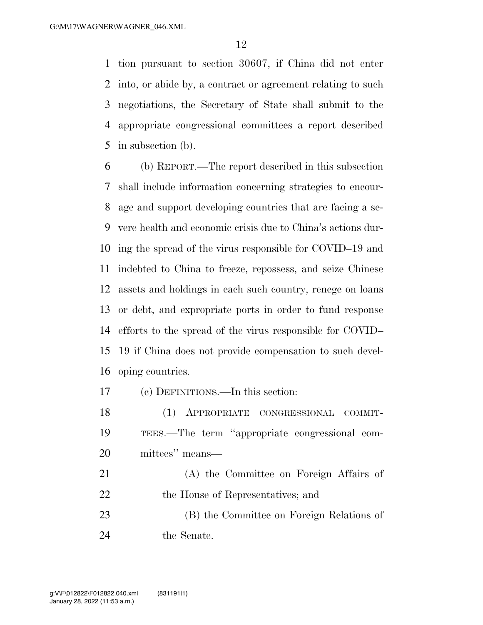tion pursuant to section 30607, if China did not enter into, or abide by, a contract or agreement relating to such negotiations, the Secretary of State shall submit to the appropriate congressional committees a report described in subsection (b).

 (b) REPORT.—The report described in this subsection shall include information concerning strategies to encour- age and support developing countries that are facing a se- vere health and economic crisis due to China's actions dur- ing the spread of the virus responsible for COVID–19 and indebted to China to freeze, repossess, and seize Chinese assets and holdings in each such country, renege on loans or debt, and expropriate ports in order to fund response efforts to the spread of the virus responsible for COVID– 19 if China does not provide compensation to such devel-oping countries.

(c) DEFINITIONS.—In this section:

- (1) APPROPRIATE CONGRESSIONAL COMMIT- TEES.—The term ''appropriate congressional com-mittees'' means—
- (A) the Committee on Foreign Affairs of 22 the House of Representatives; and (B) the Committee on Foreign Relations of
- the Senate.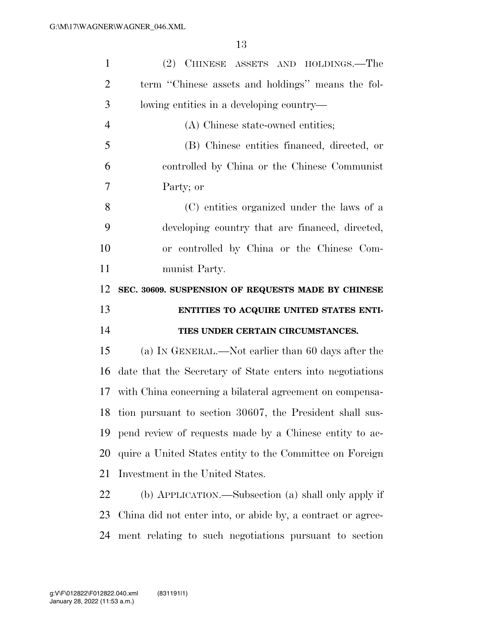| $\mathbf{1}$   | (2) CHINESE ASSETS AND HOLDINGS.—The                        |
|----------------|-------------------------------------------------------------|
| $\overline{2}$ | term "Chinese assets and holdings" means the fol-           |
| 3              | lowing entities in a developing country—                    |
| $\overline{4}$ | (A) Chinese state-owned entities;                           |
| 5              | (B) Chinese entities financed, directed, or                 |
| 6              | controlled by China or the Chinese Communist                |
| 7              | Party; or                                                   |
| 8              | (C) entities organized under the laws of a                  |
| 9              | developing country that are financed, directed,             |
| 10             | or controlled by China or the Chinese Com-                  |
| 11             | munist Party.                                               |
| 12             | SEC. 30609. SUSPENSION OF REQUESTS MADE BY CHINESE          |
|                |                                                             |
| 13             | ENTITIES TO ACQUIRE UNITED STATES ENTI-                     |
| 14             | TIES UNDER CERTAIN CIRCUMSTANCES.                           |
| 15             | (a) IN GENERAL.—Not earlier than 60 days after the          |
| 16             | date that the Secretary of State enters into negotiations   |
| 17             | with China concerning a bilateral agreement on compensa-    |
| 18             | tion pursuant to section 30607, the President shall sus-    |
| 19             | pend review of requests made by a Chinese entity to ac-     |
| <b>20</b>      | quire a United States entity to the Committee on Foreign    |
| 21             | Investment in the United States.                            |
| 22             | (b) APPLICATION.—Subsection (a) shall only apply if         |
| 23             | China did not enter into, or abide by, a contract or agree- |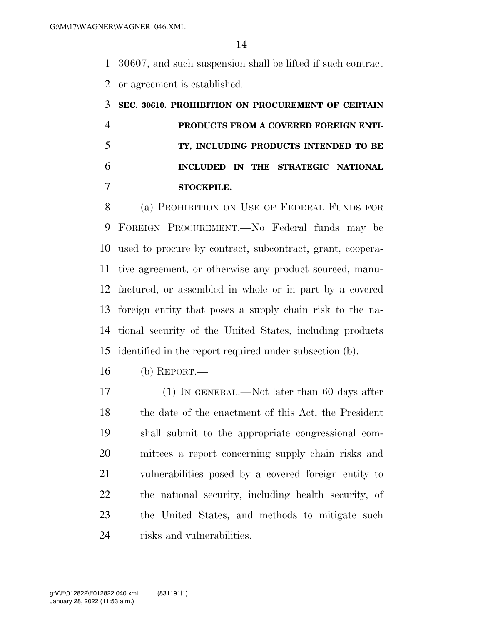30607, and such suspension shall be lifted if such contract or agreement is established.

## **SEC. 30610. PROHIBITION ON PROCUREMENT OF CERTAIN PRODUCTS FROM A COVERED FOREIGN ENTI- TY, INCLUDING PRODUCTS INTENDED TO BE INCLUDED IN THE STRATEGIC NATIONAL STOCKPILE.**

 (a) PROHIBITION ON USE OF FEDERAL FUNDS FOR FOREIGN PROCUREMENT.—No Federal funds may be used to procure by contract, subcontract, grant, coopera- tive agreement, or otherwise any product sourced, manu- factured, or assembled in whole or in part by a covered foreign entity that poses a supply chain risk to the na- tional security of the United States, including products identified in the report required under subsection (b).

- (b) REPORT.—
- (1) IN GENERAL.—Not later than 60 days after the date of the enactment of this Act, the President shall submit to the appropriate congressional com- mittees a report concerning supply chain risks and vulnerabilities posed by a covered foreign entity to the national security, including health security, of the United States, and methods to mitigate such 24 risks and vulnerabilities.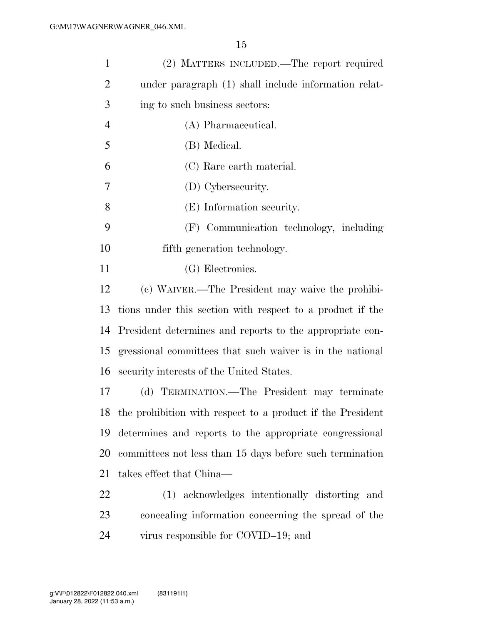| $\mathbf{1}$   | (2) MATTERS INCLUDED.—The report required                     |
|----------------|---------------------------------------------------------------|
| $\overline{2}$ | under paragraph (1) shall include information relat-          |
| 3              | ing to such business sectors:                                 |
| $\overline{4}$ | (A) Pharmaceutical.                                           |
| 5              | (B) Medical.                                                  |
| 6              | (C) Rare earth material.                                      |
| 7              | (D) Cybersecurity.                                            |
| 8              | (E) Information security.                                     |
| 9              | (F) Communication technology, including                       |
| 10             | fifth generation technology.                                  |
| 11             | (G) Electronics.                                              |
| 12             | (c) WAIVER.—The President may waive the prohibi-              |
| 13             | tions under this section with respect to a product if the     |
| 14             | President determines and reports to the appropriate con-      |
| 15             | gressional committees that such waiver is in the national     |
| 16             | security interests of the United States.                      |
| 17             | (d) TERMINATION.—The President may terminate                  |
|                | 18 the prohibition with respect to a product if the President |
| 19             | determines and reports to the appropriate congressional       |
| 20             | committees not less than 15 days before such termination      |
| 21             | takes effect that China—                                      |
| 22             | (1) acknowledges intentionally distorting and                 |
| 23             | concealing information concerning the spread of the           |
| 24             | virus responsible for COVID-19; and                           |
|                |                                                               |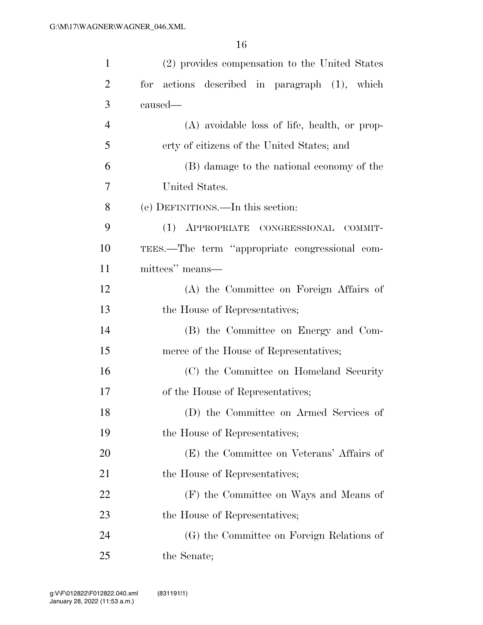| 1              | (2) provides compensation to the United States   |
|----------------|--------------------------------------------------|
| $\overline{2}$ | actions described in paragraph (1), which<br>for |
| 3              | caused—                                          |
| $\overline{4}$ | (A) avoidable loss of life, health, or prop-     |
| 5              | erty of citizens of the United States; and       |
| 6              | (B) damage to the national economy of the        |
| 7              | United States.                                   |
| 8              | (e) DEFINITIONS.—In this section:                |
| 9              | (1) APPROPRIATE CONGRESSIONAL COMMIT-            |
| 10             | TEES.—The term "appropriate congressional com-   |
| 11             | mittees" means—                                  |
| 12             | (A) the Committee on Foreign Affairs of          |
| 13             | the House of Representatives;                    |
| 14             | (B) the Committee on Energy and Com-             |
| 15             | merce of the House of Representatives;           |
| 16             | (C) the Committee on Homeland Security           |
| 17             | of the House of Representatives;                 |
| 18             | (D) the Committee on Armed Services of           |
| 19             | the House of Representatives;                    |
| 20             | (E) the Committee on Veterans' Affairs of        |
| 21             | the House of Representatives;                    |
| 22             | (F) the Committee on Ways and Means of           |
| 23             | the House of Representatives;                    |
| 24             | (G) the Committee on Foreign Relations of        |
| 25             | the Senate;                                      |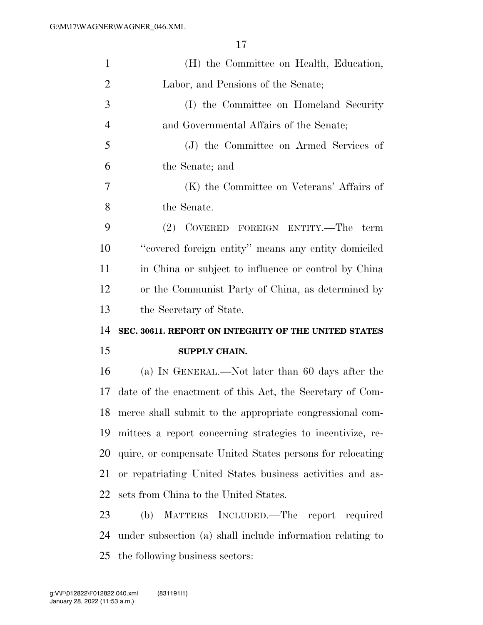| $\mathbf{1}$   | (H) the Committee on Health, Education,                    |
|----------------|------------------------------------------------------------|
| $\overline{2}$ | Labor, and Pensions of the Senate;                         |
| 3              | (I) the Committee on Homeland Security                     |
| $\overline{4}$ | and Governmental Affairs of the Senate;                    |
| 5              | (J) the Committee on Armed Services of                     |
| 6              | the Senate; and                                            |
| 7              | (K) the Committee on Veterans' Affairs of                  |
| 8              | the Senate.                                                |
| 9              | (2) COVERED FOREIGN ENTITY.—The<br>term                    |
| 10             | "covered foreign entity" means any entity domiciled        |
| 11             | in China or subject to influence or control by China       |
| 12             | or the Communist Party of China, as determined by          |
| 13             | the Secretary of State.                                    |
|                |                                                            |
| 14             | SEC. 30611. REPORT ON INTEGRITY OF THE UNITED STATES       |
| 15             | SUPPLY CHAIN.                                              |
| 16             | (a) IN GENERAL.—Not later than 60 days after the           |
| 17             | date of the enactment of this Act, the Secretary of Com-   |
| 18             | merce shall submit to the appropriate congressional com-   |
| 19             | mittees a report concerning strategies to incentivize, re- |
| 20             | quire, or compensate United States persons for relocating  |
| 21             | or repatriating United States business activities and as-  |
| 22             | sets from China to the United States.                      |
| 23             | MATTERS INCLUDED.—The report required<br>(b)               |
| 24             | under subsection (a) shall include information relating to |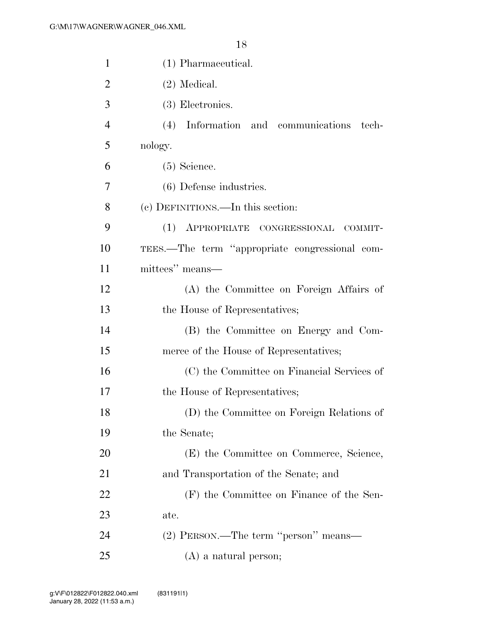| $\mathbf{1}$   | (1) Pharmaceutical.                            |
|----------------|------------------------------------------------|
| $\overline{2}$ | $(2)$ Medical.                                 |
| 3              | (3) Electronics.                               |
| $\overline{4}$ | (4) Information and communications<br>tech-    |
| 5              | nology.                                        |
| 6              | $(5)$ Science.                                 |
| 7              | $(6)$ Defense industries.                      |
| 8              | (c) DEFINITIONS.—In this section:              |
| 9              | (1) APPROPRIATE CONGRESSIONAL COMMIT-          |
| 10             | TEES.—The term "appropriate congressional com- |
| 11             | mittees" means—                                |
| 12             | (A) the Committee on Foreign Affairs of        |
| 13             | the House of Representatives;                  |
| 14             | (B) the Committee on Energy and Com-           |
| 15             | merce of the House of Representatives;         |
| 16             | (C) the Committee on Financial Services of     |
| 17             | the House of Representatives;                  |
| 18             | (D) the Committee on Foreign Relations of      |
| 19             | the Senate;                                    |
| 20             | (E) the Committee on Commerce, Science,        |
| 21             | and Transportation of the Senate; and          |
| 22             | (F) the Committee on Finance of the Sen-       |
| 23             | ate.                                           |
| 24             | (2) PERSON.—The term "person" means—           |
| 25             | $(A)$ a natural person;                        |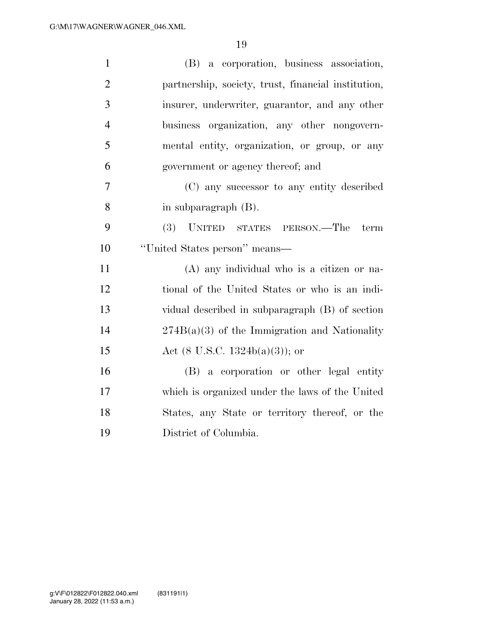| $\mathbf{1}$   | (B) a corporation, business association,            |
|----------------|-----------------------------------------------------|
| $\overline{2}$ | partnership, society, trust, financial institution, |
| 3              | insurer, underwriter, guarantor, and any other      |
| $\overline{4}$ | business organization, any other nongovern-         |
| 5              | mental entity, organization, or group, or any       |
| 6              | government or agency thereof; and                   |
| 7              | (C) any successor to any entity described           |
| 8              | in subparagraph $(B)$ .                             |
| 9              | <b>(3)</b><br>UNITED STATES PERSON.—The<br>term     |
| 10             | "United States person" means—                       |
| 11             | $(A)$ any individual who is a citizen or na-        |
| 12             | tional of the United States or who is an indi-      |
| 13             | vidual described in subparagraph (B) of section     |
| 14             | $274B(a)(3)$ of the Immigration and Nationality     |
| 15             | Act $(8 \text{ U.S.C. } 1324b(a)(3))$ ; or          |
| 16             | (B) a corporation or other legal entity             |
| 17             | which is organized under the laws of the United     |
| 18             | States, any State or territory thereof, or the      |
| 19             | District of Columbia.                               |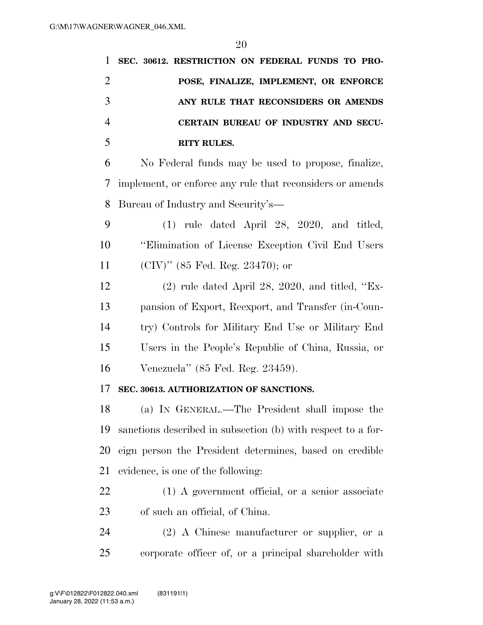| $\mathbf{1}$   | SEC. 30612. RESTRICTION ON FEDERAL FUNDS TO PRO-             |
|----------------|--------------------------------------------------------------|
| $\overline{2}$ | POSE, FINALIZE, IMPLEMENT, OR ENFORCE                        |
| 3              | ANY RULE THAT RECONSIDERS OR AMENDS                          |
| $\overline{4}$ | CERTAIN BUREAU OF INDUSTRY AND SECU-                         |
| 5              | <b>RITY RULES.</b>                                           |
| 6              | No Federal funds may be used to propose, finalize,           |
| 7              | implement, or enforce any rule that reconsiders or amends    |
| 8              | Bureau of Industry and Security's—                           |
| 9              | $(1)$ rule dated April 28, 2020, and titled,                 |
| 10             | "Elimination of License Exception Civil End Users"           |
| 11             | $(CIV)$ " (85 Fed. Reg. 23470); or                           |
| 12             | $(2)$ rule dated April 28, 2020, and titled, "Ex-            |
| 13             | pansion of Export, Reexport, and Transfer (in-Coun-          |
| 14             | try) Controls for Military End Use or Military End           |
| 15             | Users in the People's Republic of China, Russia, or          |
| 16             | Venezuela" (85 Fed. Reg. 23459).                             |
| 17             | SEC. 30613. AUTHORIZATION OF SANCTIONS.                      |
| 18             | (a) IN GENERAL.—The President shall impose the               |
| 19             | sanctions described in subsection (b) with respect to a for- |
| 20             | eign person the President determines, based on credible      |
| 21             | evidence, is one of the following:                           |
| 22             | $(1)$ A government official, or a senior associate           |
| 23             | of such an official, of China.                               |
| 24             | $(2)$ A Chinese manufacturer or supplier, or a               |
| 25             | corporate officer of, or a principal shareholder with        |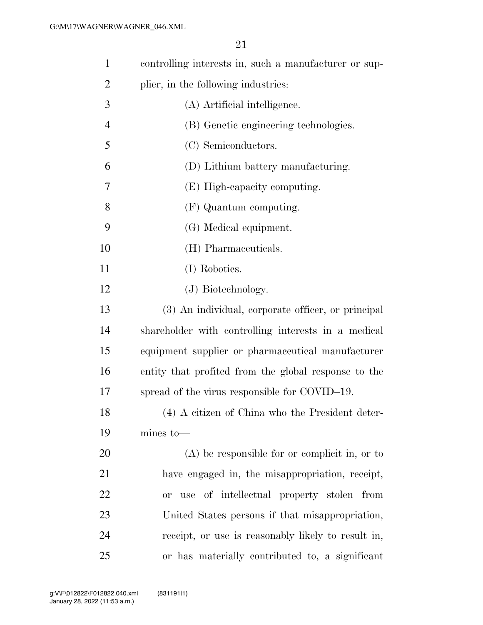| $\mathbf{1}$   | controlling interests in, such a manufacturer or sup- |
|----------------|-------------------------------------------------------|
| $\overline{2}$ | plier, in the following industries:                   |
| 3              | (A) Artificial intelligence.                          |
| $\overline{4}$ | (B) Genetic engineering technologies.                 |
| 5              | (C) Semiconductors.                                   |
| 6              | (D) Lithium battery manufacturing.                    |
| 7              | (E) High-capacity computing.                          |
| 8              | (F) Quantum computing.                                |
| 9              | (G) Medical equipment.                                |
| 10             | (H) Pharmaceuticals.                                  |
| 11             | (I) Robotics.                                         |
| 12             | (J) Biotechnology.                                    |
| 13             | (3) An individual, corporate officer, or principal    |
| 14             | shareholder with controlling interests in a medical   |
| 15             | equipment supplier or pharmaceutical manufacturer     |
| 16             | entity that profited from the global response to the  |
| 17             | spread of the virus responsible for COVID-19.         |
| 18             | (4) A citizen of China who the President deter-       |
| 19             | $mines$ to $-$                                        |
| 20             | $(A)$ be responsible for or complicit in, or to       |
| 21             | have engaged in, the misappropriation, receipt,       |
| 22             | or use of intellectual property stolen from           |
| 23             | United States persons if that misappropriation,       |
| 24             | receipt, or use is reasonably likely to result in,    |
| 25             | or has materially contributed to, a significant       |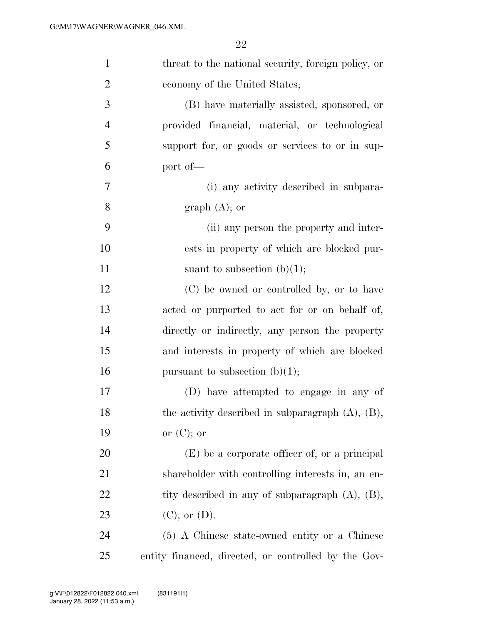| $\mathbf{1}$     | threat to the national security, foreign policy, or    |
|------------------|--------------------------------------------------------|
| $\overline{2}$   | economy of the United States;                          |
| 3                | (B) have materially assisted, sponsored, or            |
| $\overline{4}$   | provided financial, material, or technological         |
| 5                | support for, or goods or services to or in sup-        |
| 6                | port of-                                               |
| $\boldsymbol{7}$ | (i) any activity described in subpara-                 |
| 8                | graph $(A)$ ; or                                       |
| 9                | (ii) any person the property and inter-                |
| 10               | ests in property of which are blocked pur-             |
| 11               | suant to subsection $(b)(1)$ ;                         |
| 12               | (C) be owned or controlled by, or to have              |
| 13               | acted or purported to act for or on behalf of,         |
| 14               | directly or indirectly, any person the property        |
| 15               | and interests in property of which are blocked         |
| 16               | pursuant to subsection $(b)(1)$ ;                      |
| 17               | (D) have attempted to engage in any of                 |
| 18               | the activity described in subparagraph $(A)$ , $(B)$ , |
| 19               | or $(C)$ ; or                                          |
| 20               | $(E)$ be a corporate officer of, or a principal        |
| 21               | shareholder with controlling interests in, an en-      |
| 22               | tity described in any of subparagraph $(A)$ , $(B)$ ,  |
| 23               | $(C)$ , or $(D)$ .                                     |
| 24               | (5) A Chinese state-owned entity or a Chinese          |
| 25               | entity financed, directed, or controlled by the Gov-   |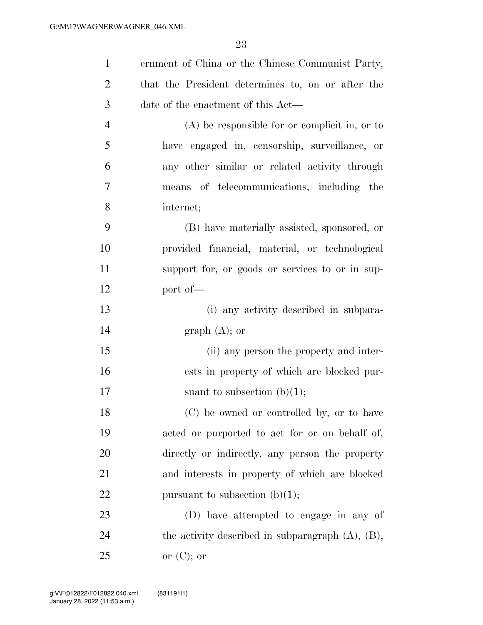| $\mathbf{1}$   | ernment of China or the Chinese Communist Party,       |
|----------------|--------------------------------------------------------|
| $\overline{c}$ | that the President determines to, on or after the      |
| 3              | date of the enactment of this Act—                     |
| $\overline{4}$ | $(A)$ be responsible for or complicit in, or to        |
| 5              | have engaged in, censorship, surveillance, or          |
| 6              | any other similar or related activity through          |
| $\overline{7}$ | means of telecommunications, including the             |
| 8              | internet;                                              |
| 9              | (B) have materially assisted, sponsored, or            |
| 10             | provided financial, material, or technological         |
| 11             | support for, or goods or services to or in sup-        |
| 12             | port of-                                               |
| 13             | (i) any activity described in subpara-                 |
| 14             | graph $(A)$ ; or                                       |
| 15             | (ii) any person the property and inter-                |
| 16             | ests in property of which are blocked pur-             |
| 17             | suant to subsection $(b)(1)$ ;                         |
| 18             | (C) be owned or controlled by, or to have              |
| 19             | acted or purported to act for or on behalf of,         |
| 20             | directly or indirectly, any person the property        |
| 21             | and interests in property of which are blocked         |
| 22             | pursuant to subsection $(b)(1)$ ;                      |
| 23             | (D) have attempted to engage in any of                 |
| 24             | the activity described in subparagraph $(A)$ , $(B)$ , |
| 25             | or $(C)$ ; or                                          |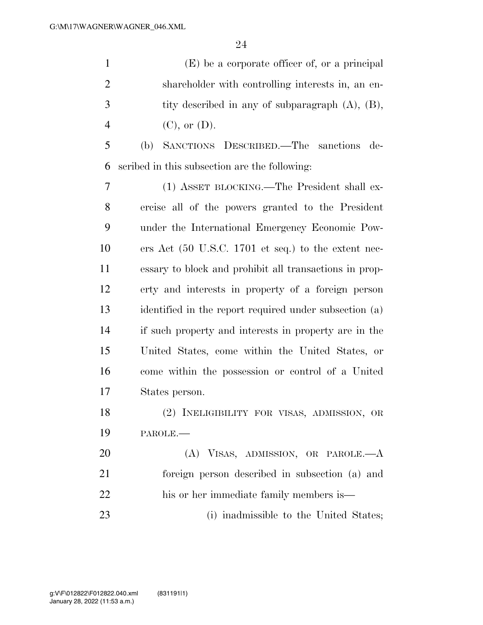(E) be a corporate officer of, or a principal shareholder with controlling interests in, an en- tity described in any of subparagraph (A), (B), 4 (C), or (D).

 (b) SANCTIONS DESCRIBED.—The sanctions de-scribed in this subsection are the following:

 (1) ASSET BLOCKING.—The President shall ex- ercise all of the powers granted to the President under the International Emergency Economic Pow- ers Act (50 U.S.C. 1701 et seq.) to the extent nec- essary to block and prohibit all transactions in prop- erty and interests in property of a foreign person identified in the report required under subsection (a) if such property and interests in property are in the United States, come within the United States, or come within the possession or control of a United States person.

 (2) INELIGIBILITY FOR VISAS, ADMISSION, OR PAROLE.—

 (A) VISAS, ADMISSION, OR PAROLE.—A foreign person described in subsection (a) and his or her immediate family members is— (i) inadmissible to the United States;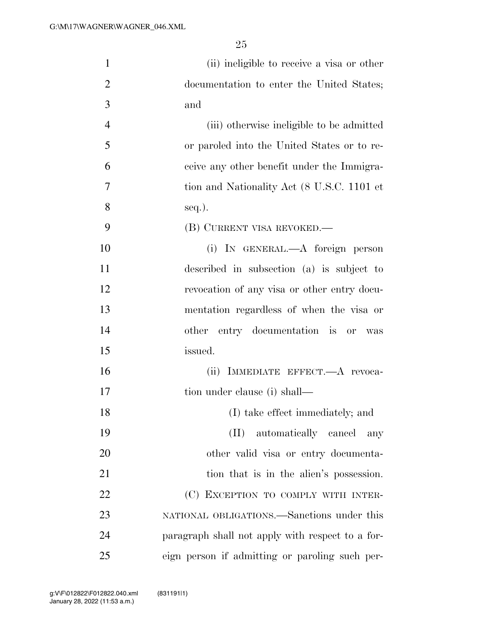| $\mathbf{1}$   | (ii) ineligible to receive a visa or other       |
|----------------|--------------------------------------------------|
| $\overline{2}$ | documentation to enter the United States;        |
| 3              | and                                              |
| $\overline{4}$ | (iii) otherwise ineligible to be admitted        |
| 5              | or paroled into the United States or to re-      |
| 6              | ceive any other benefit under the Immigra-       |
| 7              | tion and Nationality Act (8 U.S.C. 1101 et       |
| 8              | $seq.$ ).                                        |
| 9              | (B) CURRENT VISA REVOKED.—                       |
| 10             | (i) IN GENERAL.—A foreign person                 |
| 11             | described in subsection (a) is subject to        |
| 12             | revocation of any visa or other entry docu-      |
| 13             | mentation regardless of when the visa or         |
| 14             | other entry documentation is or<br>was           |
| 15             | issued.                                          |
| 16             | (ii) IMMEDIATE EFFECT.—A revoca-                 |
| 17             | tion under clause (i) shall—                     |
| 18             | (I) take effect immediately; and                 |
| 19             | (II) automatically cancel<br>any                 |
| 20             | other valid visa or entry documenta-             |
| 21             | tion that is in the alien's possession.          |
| 22             | (C) EXCEPTION TO COMPLY WITH INTER-              |
| 23             | NATIONAL OBLIGATIONS.—Sanctions under this       |
| 24             | paragraph shall not apply with respect to a for- |
| 25             | eign person if admitting or paroling such per-   |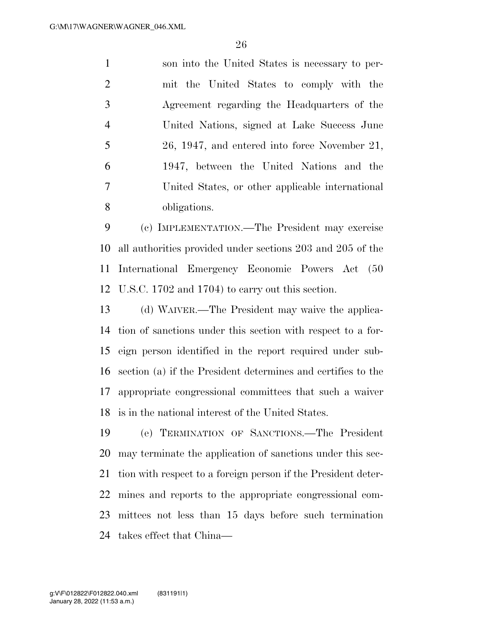son into the United States is necessary to per- mit the United States to comply with the Agreement regarding the Headquarters of the United Nations, signed at Lake Success June 26, 1947, and entered into force November 21, 1947, between the United Nations and the United States, or other applicable international obligations.

 (c) IMPLEMENTATION.—The President may exercise all authorities provided under sections 203 and 205 of the International Emergency Economic Powers Act (50 U.S.C. 1702 and 1704) to carry out this section.

 (d) WAIVER.—The President may waive the applica- tion of sanctions under this section with respect to a for- eign person identified in the report required under sub- section (a) if the President determines and certifies to the appropriate congressional committees that such a waiver is in the national interest of the United States.

 (e) TERMINATION OF SANCTIONS.—The President may terminate the application of sanctions under this sec- tion with respect to a foreign person if the President deter- mines and reports to the appropriate congressional com- mittees not less than 15 days before such termination takes effect that China—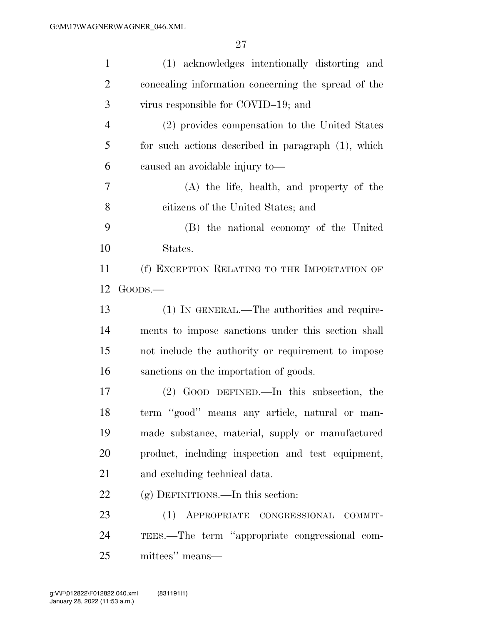| $\mathbf{1}$   | (1) acknowledges intentionally distorting and       |
|----------------|-----------------------------------------------------|
| $\overline{2}$ | concealing information concerning the spread of the |
| 3              | virus responsible for COVID-19; and                 |
| $\overline{4}$ | (2) provides compensation to the United States      |
| 5              | for such actions described in paragraph (1), which  |
| 6              | caused an avoidable injury to-                      |
| 7              | (A) the life, health, and property of the           |
| 8              | citizens of the United States; and                  |
| 9              | (B) the national economy of the United              |
| 10             | States.                                             |
| 11             | (f) EXCEPTION RELATING TO THE IMPORTATION OF        |
| 12             | $Go$ <sub>o</sub> $-$                               |
| 13             | (1) IN GENERAL.—The authorities and require-        |
| 14             | ments to impose sanctions under this section shall  |
| 15             | not include the authority or requirement to impose  |
| 16             | sanctions on the importation of goods.              |
| 17             | $(2)$ GOOD DEFINED.—In this subsection, the         |
| 18             | term "good" means any article, natural or man-      |
| 19             | made substance, material, supply or manufactured    |
| 20             | product, including inspection and test equipment,   |
| 21             | and excluding technical data.                       |
| 22             | $(g)$ DEFINITIONS.—In this section:                 |
| 23             | (1) APPROPRIATE CONGRESSIONAL COMMIT-               |
| 24             | TEES.—The term "appropriate congressional com-      |
| 25             | mittees" means—                                     |
|                |                                                     |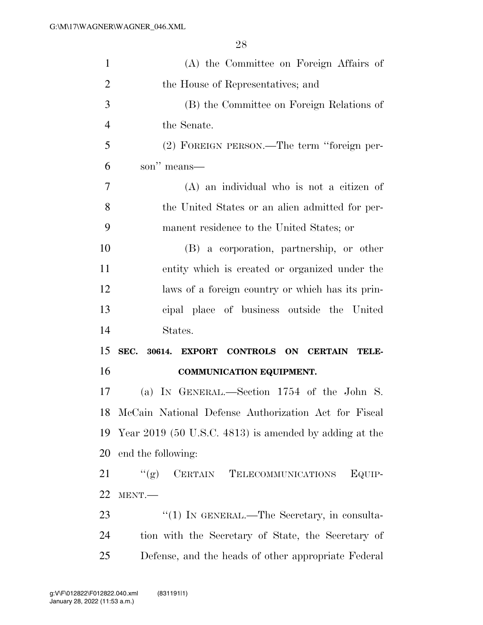| $\mathbf{1}$   | (A) the Committee on Foreign Affairs of                 |
|----------------|---------------------------------------------------------|
| $\overline{2}$ | the House of Representatives; and                       |
| 3              | (B) the Committee on Foreign Relations of               |
| $\overline{4}$ | the Senate.                                             |
| 5              | (2) FOREIGN PERSON.—The term "foreign per-              |
| 6              | son" means—                                             |
| $\overline{7}$ | $(A)$ an individual who is not a citizen of             |
| 8              | the United States or an alien admitted for per-         |
| 9              | manent residence to the United States; or               |
| 10             | (B) a corporation, partnership, or other                |
| 11             | entity which is created or organized under the          |
| 12             | laws of a foreign country or which has its prin-        |
| 13             | cipal place of business outside the United              |
|                |                                                         |
| 14             | States.                                                 |
| 15             | SEC.<br>30614.<br>EXPORT CONTROLS ON CERTAIN TELE-      |
| 16             | <b>COMMUNICATION EQUIPMENT.</b>                         |
| 17             | (a) IN GENERAL.—Section 1754 of the John S.             |
|                | 18 McCain National Defense Authorization Act for Fiscal |
| 19             | Year 2019 (50 U.S.C. 4813) is amended by adding at the  |
| 20             | end the following:                                      |
| 21             | (6)<br>CERTAIN TELECOMMUNICATIONS<br>EQUIP-             |
| 22             | MENT.-                                                  |
| 23             | $\lq(1)$ In GENERAL.—The Secretary, in consulta-        |
| 24             | tion with the Secretary of State, the Secretary of      |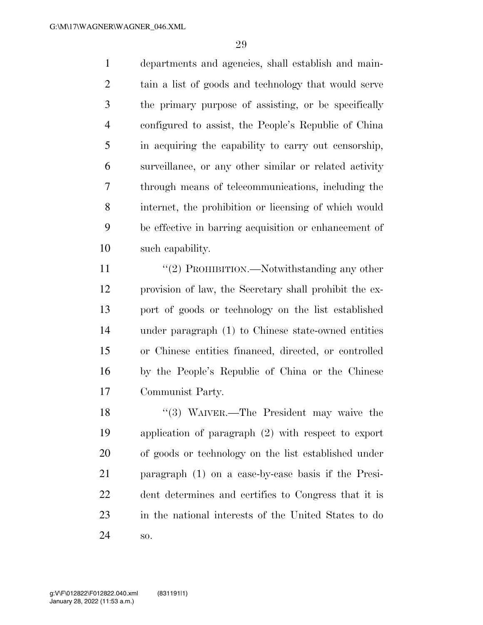departments and agencies, shall establish and main- tain a list of goods and technology that would serve the primary purpose of assisting, or be specifically configured to assist, the People's Republic of China in acquiring the capability to carry out censorship, surveillance, or any other similar or related activity through means of telecommunications, including the internet, the prohibition or licensing of which would be effective in barring acquisition or enhancement of such capability.

11 ''(2) PROHIBITION.—Notwithstanding any other provision of law, the Secretary shall prohibit the ex- port of goods or technology on the list established under paragraph (1) to Chinese state-owned entities or Chinese entities financed, directed, or controlled by the People's Republic of China or the Chinese Communist Party.

18 ''(3) WAIVER.—The President may waive the application of paragraph (2) with respect to export of goods or technology on the list established under paragraph (1) on a case-by-case basis if the Presi- dent determines and certifies to Congress that it is in the national interests of the United States to do so.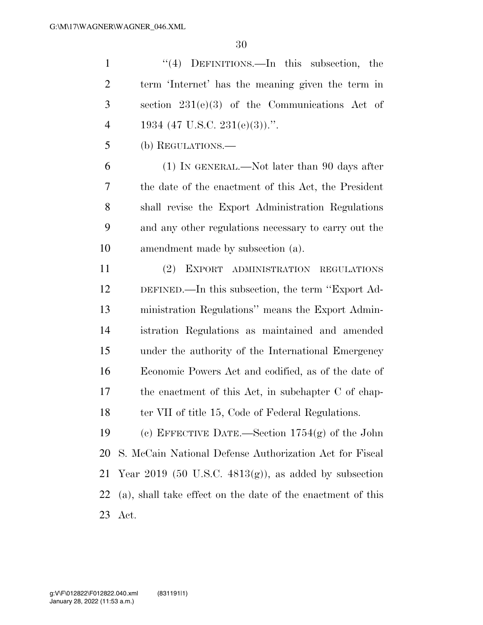''(4) DEFINITIONS.—In this subsection, the term 'Internet' has the meaning given the term in section 231(e)(3) of the Communications Act of 4 1934 (47 U.S.C. 231(e)(3)).". (b) REGULATIONS.— (1) IN GENERAL.—Not later than 90 days after

 the date of the enactment of this Act, the President shall revise the Export Administration Regulations and any other regulations necessary to carry out the amendment made by subsection (a).

 (2) EXPORT ADMINISTRATION REGULATIONS DEFINED.—In this subsection, the term ''Export Ad- ministration Regulations'' means the Export Admin- istration Regulations as maintained and amended under the authority of the International Emergency Economic Powers Act and codified, as of the date of the enactment of this Act, in subchapter C of chap-18 ter VII of title 15, Code of Federal Regulations.

 (c) EFFECTIVE DATE.—Section 1754(g) of the John S. McCain National Defense Authorization Act for Fiscal 21 Year 2019 (50 U.S.C.  $4813(g)$ ), as added by subsection (a), shall take effect on the date of the enactment of this Act.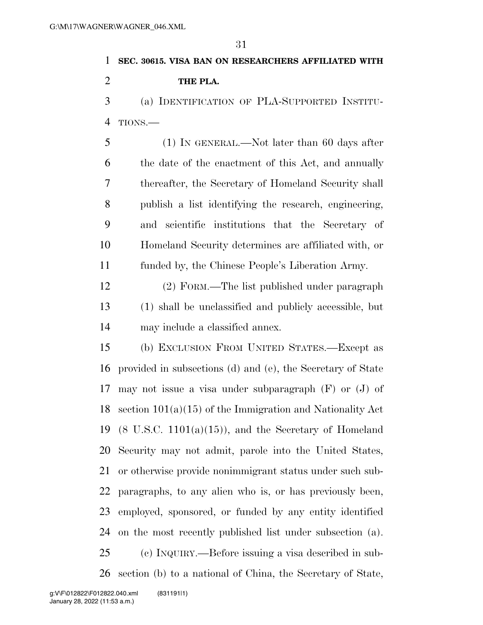# **SEC. 30615. VISA BAN ON RESEARCHERS AFFILIATED WITH THE PLA.**

 (a) IDENTIFICATION OF PLA-SUPPORTED INSTITU-TIONS.—

 (1) IN GENERAL.—Not later than 60 days after the date of the enactment of this Act, and annually thereafter, the Secretary of Homeland Security shall publish a list identifying the research, engineering, and scientific institutions that the Secretary of Homeland Security determines are affiliated with, or funded by, the Chinese People's Liberation Army.

 (2) FORM.—The list published under paragraph (1) shall be unclassified and publicly accessible, but may include a classified annex.

 (b) EXCLUSION FROM UNITED STATES.—Except as provided in subsections (d) and (e), the Secretary of State may not issue a visa under subparagraph (F) or (J) of section 101(a)(15) of the Immigration and Nationality Act 19 (8 U.S.C. 1101(a)(15)), and the Secretary of Homeland Security may not admit, parole into the United States, or otherwise provide nonimmigrant status under such sub- paragraphs, to any alien who is, or has previously been, employed, sponsored, or funded by any entity identified on the most recently published list under subsection (a). (c) INQUIRY.—Before issuing a visa described in sub-section (b) to a national of China, the Secretary of State,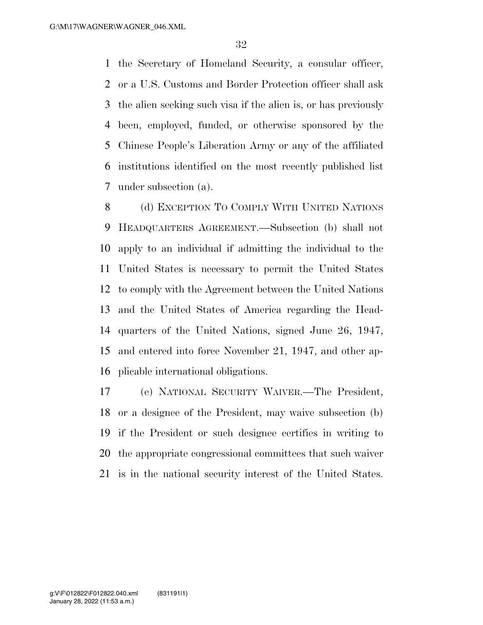the Secretary of Homeland Security, a consular officer, or a U.S. Customs and Border Protection officer shall ask the alien seeking such visa if the alien is, or has previously been, employed, funded, or otherwise sponsored by the Chinese People's Liberation Army or any of the affiliated institutions identified on the most recently published list under subsection (a).

 (d) EXCEPTION TO COMPLY WITH UNITED NATIONS HEADQUARTERS AGREEMENT.—Subsection (b) shall not apply to an individual if admitting the individual to the United States is necessary to permit the United States to comply with the Agreement between the United Nations and the United States of America regarding the Head- quarters of the United Nations, signed June 26, 1947, and entered into force November 21, 1947, and other ap-plicable international obligations.

 (e) NATIONAL SECURITY WAIVER.—The President, or a designee of the President, may waive subsection (b) if the President or such designee certifies in writing to the appropriate congressional committees that such waiver is in the national security interest of the United States.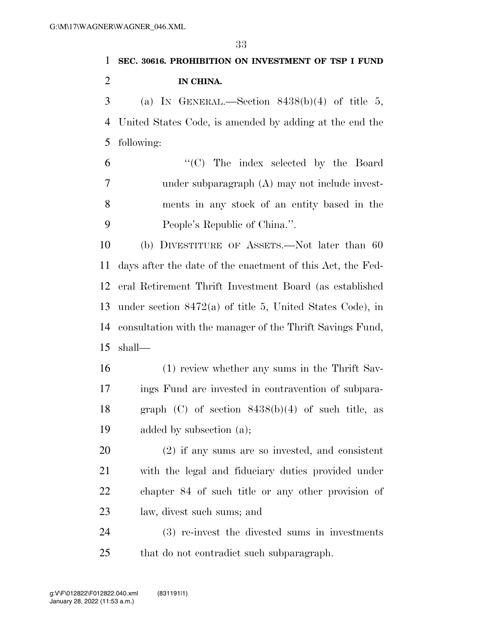## **SEC. 30616. PROHIBITION ON INVESTMENT OF TSP I FUND IN CHINA.**  (a) IN GENERAL.—Section 8438(b)(4) of title 5, United States Code, is amended by adding at the end the following:

 ''(C) The index selected by the Board under subparagraph (A) may not include invest- ments in any stock of an entity based in the People's Republic of China.''.

 (b) DIVESTITURE OF ASSETS.—Not later than 60 days after the date of the enactment of this Act, the Fed- eral Retirement Thrift Investment Board (as established under section 8472(a) of title 5, United States Code), in consultation with the manager of the Thrift Savings Fund, shall—

 (1) review whether any sums in the Thrift Sav- ings Fund are invested in contravention of subpara-18 graph  $(C)$  of section  $8438(b)(4)$  of such title, as added by subsection (a);

 (2) if any sums are so invested, and consistent with the legal and fiduciary duties provided under chapter 84 of such title or any other provision of law, divest such sums; and

 (3) re-invest the divested sums in investments that do not contradict such subparagraph.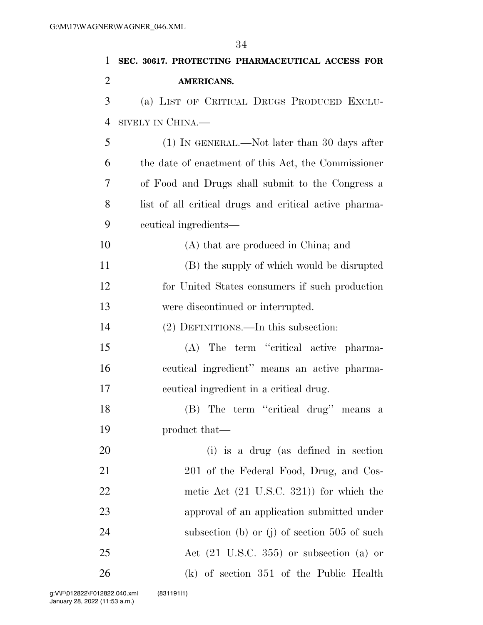| 1              | SEC. 30617. PROTECTING PHARMACEUTICAL ACCESS FOR       |
|----------------|--------------------------------------------------------|
| $\overline{2}$ | <b>AMERICANS.</b>                                      |
| 3              | (a) LIST OF CRITICAL DRUGS PRODUCED EXCLU-             |
| $\overline{4}$ | SIVELY IN CHINA.—                                      |
| 5              | $(1)$ In GENERAL.—Not later than 30 days after         |
| 6              | the date of enactment of this Act, the Commissioner    |
| 7              | of Food and Drugs shall submit to the Congress a       |
| 8              | list of all critical drugs and critical active pharma- |
| 9              | ceutical ingredients—                                  |
| 10             | (A) that are produced in China; and                    |
| 11             | (B) the supply of which would be disrupted             |
| 12             | for United States consumers if such production         |
| 13             | were discontinued or interrupted.                      |
| 14             | (2) DEFINITIONS.—In this subsection:                   |
| 15             | (A) The term "critical active pharma-                  |
| 16             | ceutical ingredient" means an active pharma-           |
| 17             | ceutical ingredient in a critical drug.                |
| 18             | (B) The term "critical drug" means a                   |
| 19             | product that—                                          |
| 20             | (i) is a drug (as defined in section                   |
| 21             | 201 of the Federal Food, Drug, and Cos-                |
| 22             | metic Act $(21 \text{ U.S.C. } 321)$ for which the     |
| 23             | approval of an application submitted under             |
| 24             | subsection (b) or (j) of section $505$ of such         |
| 25             | Act $(21 \text{ U.S.C. } 355)$ or subsection $(a)$ or  |
| 26             | (k) of section 351 of the Public Health                |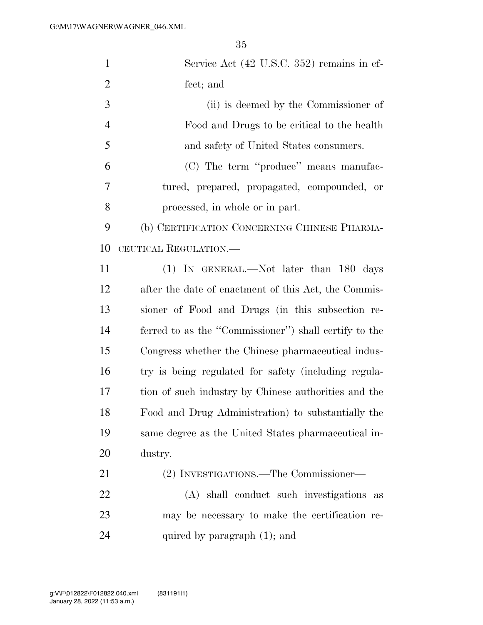| $\mathbf{1}$   | Service Act (42 U.S.C. 352) remains in ef-            |
|----------------|-------------------------------------------------------|
| $\overline{2}$ | fect; and                                             |
| 3              | (ii) is deemed by the Commissioner of                 |
| $\overline{4}$ | Food and Drugs to be critical to the health           |
| 5              | and safety of United States consumers.                |
| 6              | (C) The term "produce" means manufac-                 |
| 7              | tured, prepared, propagated, compounded, or           |
| 8              | processed, in whole or in part.                       |
| 9              | (b) CERTIFICATION CONCERNING CHINESE PHARMA-          |
| 10             | CEUTICAL REGULATION.—                                 |
| 11             | (1) IN GENERAL.—Not later than 180 days               |
| 12             | after the date of enactment of this Act, the Commis-  |
| 13             | sioner of Food and Drugs (in this subsection re-      |
| 14             | ferred to as the "Commissioner") shall certify to the |
| 15             | Congress whether the Chinese pharmaceutical indus-    |
| 16             | try is being regulated for safety (including regula-  |
| 17             | tion of such industry by Chinese authorities and the  |
| 18             | Food and Drug Administration) to substantially the    |
| 19             | same degree as the United States pharmaceutical in-   |
| 20             | dustry.                                               |
| 21             | (2) INVESTIGATIONS.—The Commissioner—                 |
| 22             | (A) shall conduct such investigations<br>as           |
| 23             | may be necessary to make the certification re-        |
| 24             | quired by paragraph $(1)$ ; and                       |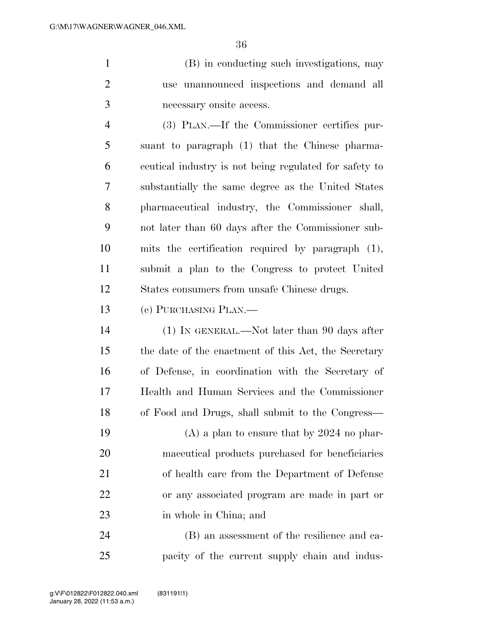(B) in conducting such investigations, may use unannounced inspections and demand all necessary onsite access.

 (3) PLAN.—If the Commissioner certifies pur- suant to paragraph (1) that the Chinese pharma- ceutical industry is not being regulated for safety to substantially the same degree as the United States pharmaceutical industry, the Commissioner shall, not later than 60 days after the Commissioner sub- mits the certification required by paragraph (1), submit a plan to the Congress to protect United States consumers from unsafe Chinese drugs.

(c) PURCHASING PLAN.—

 (1) IN GENERAL.—Not later than 90 days after the date of the enactment of this Act, the Secretary of Defense, in coordination with the Secretary of Health and Human Services and the Commissioner of Food and Drugs, shall submit to the Congress—

 (A) a plan to ensure that by 2024 no phar- maceutical products purchased for beneficiaries of health care from the Department of Defense or any associated program are made in part or in whole in China; and

 (B) an assessment of the resilience and ca-pacity of the current supply chain and indus-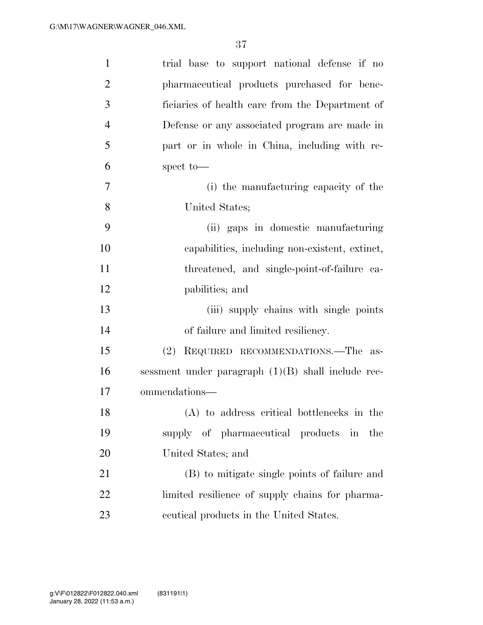| $\mathbf{1}$   | trial base to support national defense if no         |
|----------------|------------------------------------------------------|
| $\overline{2}$ | pharmaceutical products purchased for bene-          |
| 3              | ficiaries of health care from the Department of      |
| $\overline{4}$ | Defense or any associated program are made in        |
| 5              | part or in whole in China, including with re-        |
| 6              | spect to-                                            |
| $\tau$         | (i) the manufacturing capacity of the                |
| 8              | United States;                                       |
| 9              | (ii) gaps in domestic manufacturing                  |
| 10             | capabilities, including non-existent, extinct,       |
| 11             | threatened, and single-point-of-failure ca-          |
| 12             | pabilities; and                                      |
| 13             | (iii) supply chains with single points               |
| 14             | of failure and limited resiliency.                   |
| 15             | (2) REQUIRED RECOMMENDATIONS.—The as-                |
| 16             | sessment under paragraph $(1)(B)$ shall include rec- |
| 17             | ommendations-                                        |
| 18             | (A) to address critical bottlenecks in the           |
| 19             | supply of pharmaceutical products in<br>the          |
| 20             | United States; and                                   |
| 21             | (B) to mitigate single points of failure and         |
| 22             | limited resilience of supply chains for pharma-      |
| 23             | centrical products in the United States.             |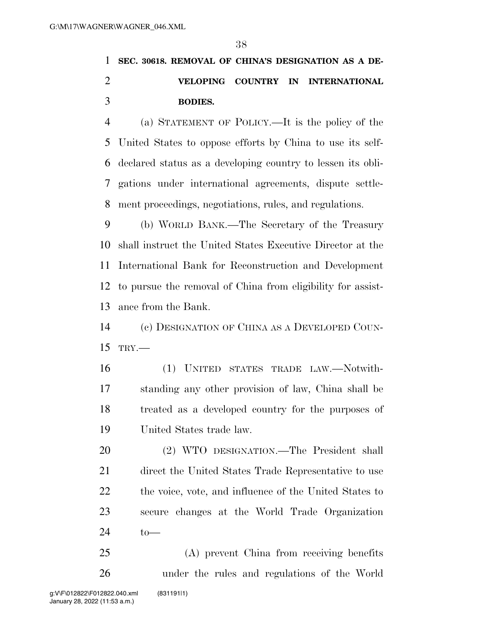## **SEC. 30618. REMOVAL OF CHINA'S DESIGNATION AS A DE- VELOPING COUNTRY IN INTERNATIONAL BODIES.**

 (a) STATEMENT OF POLICY.—It is the policy of the United States to oppose efforts by China to use its self- declared status as a developing country to lessen its obli- gations under international agreements, dispute settle-ment proceedings, negotiations, rules, and regulations.

 (b) WORLD BANK.—The Secretary of the Treasury shall instruct the United States Executive Director at the International Bank for Reconstruction and Development to pursue the removal of China from eligibility for assist-ance from the Bank.

 (c) DESIGNATION OF CHINA AS A DEVELOPED COUN-TRY.—

 (1) UNITED STATES TRADE LAW.—Notwith- standing any other provision of law, China shall be treated as a developed country for the purposes of United States trade law.

 (2) WTO DESIGNATION.—The President shall direct the United States Trade Representative to use 22 the voice, vote, and influence of the United States to secure changes at the World Trade Organization to—

 (A) prevent China from receiving benefits under the rules and regulations of the World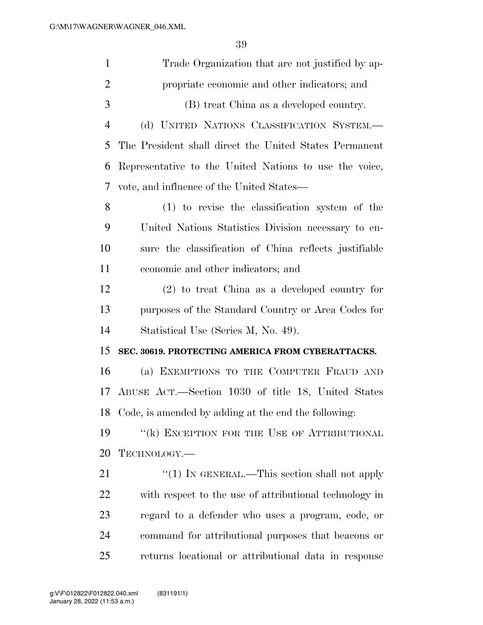| $\mathbf{1}$   | Trade Organization that are not justified by ap-       |
|----------------|--------------------------------------------------------|
| $\overline{2}$ | propriate economic and other indicators; and           |
| 3              | (B) treat China as a developed country.                |
| $\overline{4}$ | (d) UNITED NATIONS CLASSIFICATION SYSTEM.-             |
| 5              | The President shall direct the United States Permanent |
| 6              | Representative to the United Nations to use the voice, |
| 7              | vote, and influence of the United States—              |
| 8              | (1) to revise the classification system of the         |
| 9              | United Nations Statistics Division necessary to en-    |
| 10             | sure the classification of China reflects justifiable  |
| 11             | economic and other indicators; and                     |
| 12             | $(2)$ to treat China as a developed country for        |
| 13             | purposes of the Standard Country or Area Codes for     |
| 14             | Statistical Use (Series M, No. 49).                    |
| 15             | SEC. 30619. PROTECTING AMERICA FROM CYBERATTACKS.      |
| 16             | (a) EXEMPTIONS TO THE COMPUTER FRAUD AND               |
| 17             | ABUSE ACT.—Section 1030 of title 18, United States     |
| 18             | Code, is amended by adding at the end the following:   |
| 19             | "(k) EXCEPTION FOR THE USE OF ATTRIBUTIONAL            |
| 20             | TECHNOLOGY.—                                           |
| 21             | "(1) IN GENERAL.—This section shall not apply          |
| 22             | with respect to the use of attributional technology in |
| 23             | regard to a defender who uses a program, code, or      |
| 24             | command for attributional purposes that beacons or     |
| 25             | returns locational or attributional data in response   |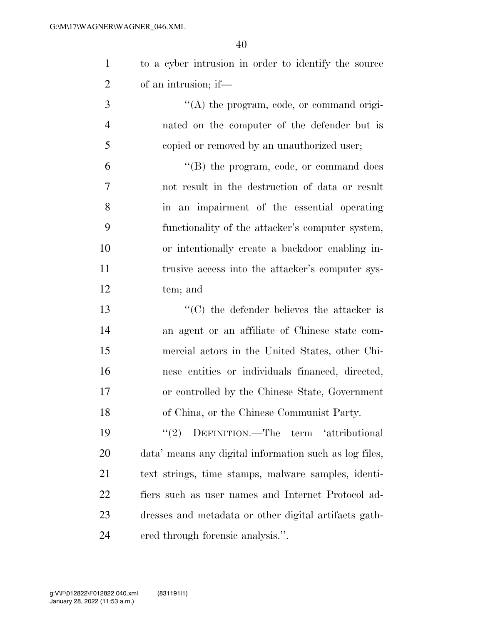to a cyber intrusion in order to identify the source of an intrusion; if—

3  $\langle (A)$  the program, code, or command origi- nated on the computer of the defender but is copied or removed by an unauthorized user;

 ''(B) the program, code, or command does not result in the destruction of data or result in an impairment of the essential operating functionality of the attacker's computer system, or intentionally create a backdoor enabling in- trusive access into the attacker's computer sys-tem; and

 ''(C) the defender believes the attacker is an agent or an affiliate of Chinese state com- mercial actors in the United States, other Chi- nese entities or individuals financed, directed, or controlled by the Chinese State, Government of China, or the Chinese Communist Party.

19 "(2) DEFINITION.—The term 'attributional data' means any digital information such as log files, text strings, time stamps, malware samples, identi- fiers such as user names and Internet Protocol ad- dresses and metadata or other digital artifacts gath-ered through forensic analysis.''.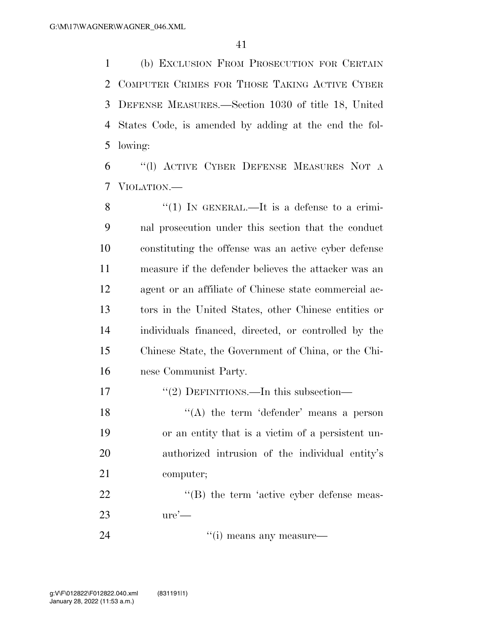(b) EXCLUSION FROM PROSECUTION FOR CERTAIN COMPUTER CRIMES FOR THOSE TAKING ACTIVE CYBER DEFENSE MEASURES.—Section 1030 of title 18, United States Code, is amended by adding at the end the fol-lowing:

 ''(l) ACTIVE CYBER DEFENSE MEASURES NOT A VIOLATION.—

8 "(1) IN GENERAL.—It is a defense to a crimi- nal prosecution under this section that the conduct constituting the offense was an active cyber defense measure if the defender believes the attacker was an agent or an affiliate of Chinese state commercial ac- tors in the United States, other Chinese entities or individuals financed, directed, or controlled by the Chinese State, the Government of China, or the Chi-nese Communist Party.

17 "(2) DEFINITIONS.—In this subsection—

 $((A)$  the term 'defender' means a person or an entity that is a victim of a persistent un- authorized intrusion of the individual entity's computer;

22 "'(B) the term 'active cyber defense meas-ure'—

24 ''(i) means any measure—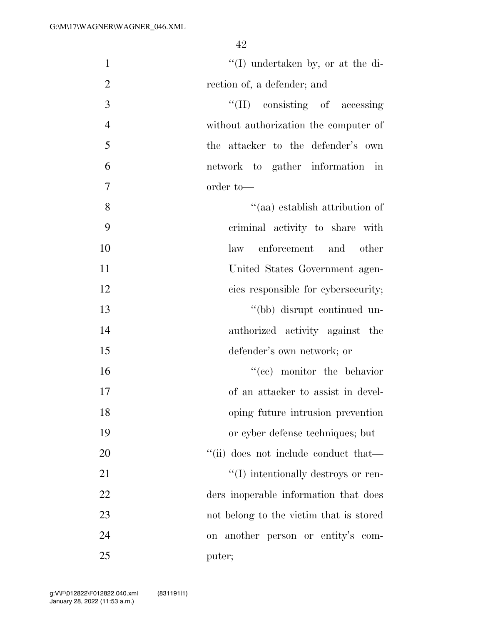| $\mathbf{1}$   | $\lq\lq$ (I) undertaken by, or at the di-        |
|----------------|--------------------------------------------------|
| $\overline{2}$ | rection of, a defender; and                      |
| 3              | $\lq\lq$ (II) consisting of accessing            |
| $\overline{4}$ | without authorization the computer of            |
| 5              | the attacker to the defender's own               |
| 6              | network to gather information in                 |
|                |                                                  |
| $\tau$         | order to-                                        |
| 8              | "(aa) establish attribution of                   |
| 9              | criminal activity to share with                  |
| 10             | enforcement and other<br>law                     |
| 11             | United States Government agen-                   |
| 12             | cies responsible for cybersecurity;              |
| 13             | "(bb) disrupt continued un-                      |
| 14             | authorized activity against the                  |
| 15             | defender's own network; or                       |
| 16             | $f''(ce)$ monitor the behavior                   |
| 17             | of an attacker to assist in devel-               |
| 18             | oping future intrusion prevention                |
| 19             | or cyber defense techniques; but                 |
| 20             | "(ii) does not include conduct that.             |
| 21             | $\lq\lq$ (I) intentionally destroys or ren-      |
| 22             | ders inoperable information that does            |
| 23             | not belong to the victim that is stored          |
| 24             | another person or entity's com-<br>$\mathrm{on}$ |
| 25             | puter;                                           |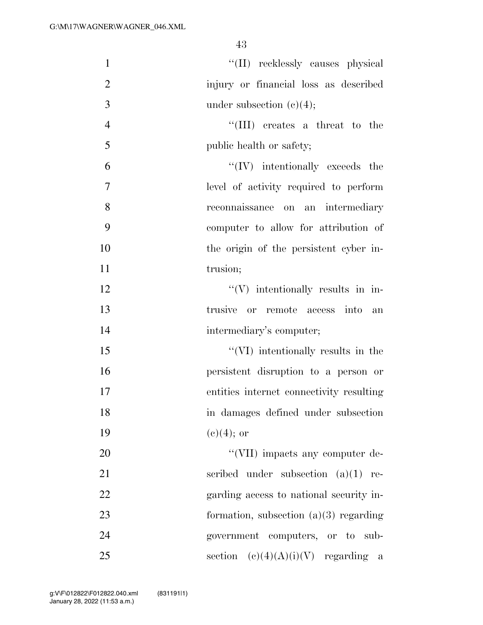| $\mathbf{1}$   | "(II) recklessly causes physical         |
|----------------|------------------------------------------|
| $\overline{2}$ | injury or financial loss as described    |
| 3              | under subsection $(e)(4)$ ;              |
| $\overline{4}$ | $\lq\lq$ (III) creates a threat to the   |
| 5              | public health or safety;                 |
| 6              | $\lq\lq$ (IV) intentionally exceeds the  |
| $\tau$         | level of activity required to perform    |
| 8              | reconnaissance on an intermediary        |
| 9              | computer to allow for attribution of     |
| 10             | the origin of the persistent cyber in-   |
| 11             | trusion;                                 |
| 12             | $\lq\lq(V)$ intentionally results in in- |
| 13             | trusive or remote access into<br>an      |
| 14             | intermediary's computer;                 |
| 15             | "(VI) intentionally results in the       |
| 16             | persistent disruption to a person or     |
| 17             | entities internet connectivity resulting |
| 18             | in damages defined under subsection      |
| 19             | $(e)(4)$ ; or                            |
| 20             | "(VII) impacts any computer de-          |
| 21             | scribed under subsection $(a)(1)$<br>re- |
| 22             | garding access to national security in-  |
| 23             | formation, subsection $(a)(3)$ regarding |
| 24             | government computers, or to sub-         |
| 25             | $(c)(4)(A)(i)(V)$ regarding a<br>section |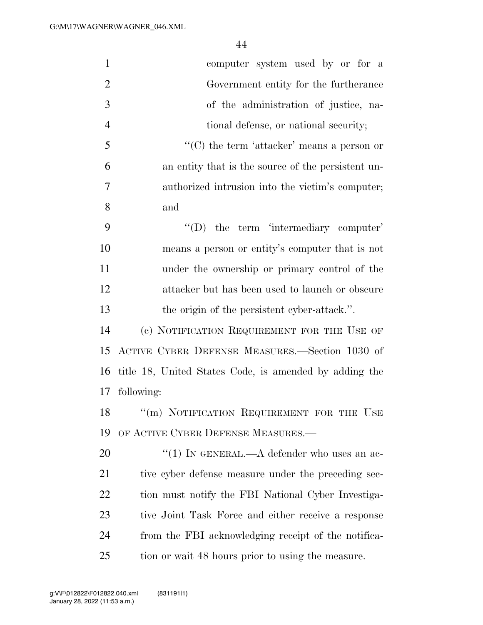| $\mathbf{1}$   | computer system used by or for a                       |
|----------------|--------------------------------------------------------|
| $\overline{2}$ | Government entity for the furtherance                  |
| 3              | of the administration of justice, na-                  |
| $\overline{4}$ | tional defense, or national security;                  |
| 5              | " $(C)$ the term 'attacker' means a person or          |
| 6              | an entity that is the source of the persistent un-     |
| 7              | authorized intrusion into the victim's computer;       |
| 8              | and                                                    |
| 9              | $\lq\lq$ the term 'intermediary computer'              |
| 10             | means a person or entity's computer that is not        |
| 11             | under the ownership or primary control of the          |
| 12             | attacker but has been used to launch or obscure        |
| 13             | the origin of the persistent cyber-attack.".           |
| 14             | (c) NOTIFICATION REQUIREMENT FOR THE USE OF            |
| 15             | ACTIVE CYBER DEFENSE MEASURES.-Section 1030 of         |
| 16             | title 18, United States Code, is amended by adding the |
| 17             | following:                                             |
| 18             | "(m) NOTIFICATION REQUIREMENT FOR THE USE              |
| 19             | OF ACTIVE CYBER DEFENSE MEASURES.                      |
| 20             | "(1) IN GENERAL.— $A$ defender who uses an ac-         |
| 21             | tive cyber defense measure under the preceding sec-    |
| 22             | tion must notify the FBI National Cyber Investiga-     |
| 23             | tive Joint Task Force and either receive a response    |
| 24             | from the FBI acknowledging receipt of the notifica-    |
| 25             | tion or wait 48 hours prior to using the measure.      |